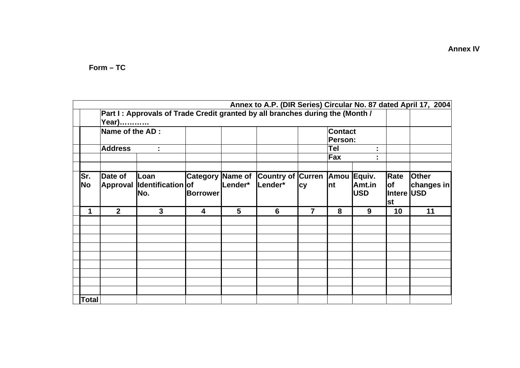$Form - TC$ 

|                  | Annex to A.P. (DIR Series) Circular No. 87 dated April 17, 2004<br>Part I: Approvals of Trade Credit granted by all branches during the (Month /<br>Year) |                                  |                                            |         |                                          |                           |            |                      |                                        |                            |
|------------------|-----------------------------------------------------------------------------------------------------------------------------------------------------------|----------------------------------|--------------------------------------------|---------|------------------------------------------|---------------------------|------------|----------------------|----------------------------------------|----------------------------|
|                  | Name of the AD :                                                                                                                                          |                                  |                                            |         |                                          | <b>Contact</b><br>Person: |            |                      |                                        |                            |
|                  | <b>Address</b>                                                                                                                                            |                                  |                                            |         |                                          |                           | Tel<br>Fax | ٠.<br>٠.             |                                        |                            |
| Sr.<br><b>No</b> | Date of<br><b>Approval</b>                                                                                                                                | Loan<br>Identification of<br>No. | <b>Category Name of</b><br><b>Borrower</b> | Lender* | Country of Curren Amou Equiv.<br>Lender* | <b>cy</b>                 | Int        | Amt.in<br><b>USD</b> | Rate<br>lof<br>Intere USD<br><b>st</b> | <b>Other</b><br>changes in |
| 1                | $\overline{2}$                                                                                                                                            | $\mathbf{3}$                     | $\overline{\mathbf{4}}$                    | 5       | 6                                        | $\overline{7}$            | 8          | 9                    | 10                                     | 11                         |
|                  |                                                                                                                                                           |                                  |                                            |         |                                          |                           |            |                      |                                        |                            |
|                  |                                                                                                                                                           |                                  |                                            |         |                                          |                           |            |                      |                                        |                            |
|                  |                                                                                                                                                           |                                  |                                            |         |                                          |                           |            |                      |                                        |                            |
|                  |                                                                                                                                                           |                                  |                                            |         |                                          |                           |            |                      |                                        |                            |
| <b>Total</b>     |                                                                                                                                                           |                                  |                                            |         |                                          |                           |            |                      |                                        |                            |

**Annex IV**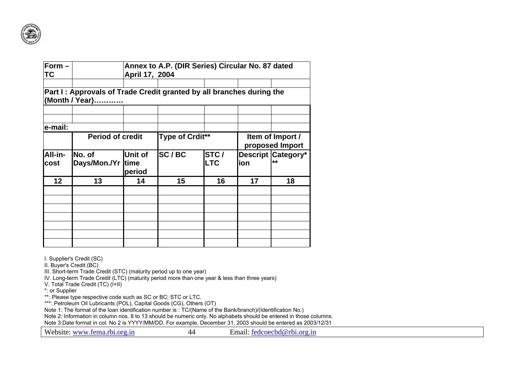

| $Form -$<br><b>TC</b> |                                                                                        | Annex to A.P. (DIR Series) Circular No. 87 dated<br>April 17, 2004 |                 |                    |                                     |                            |  |  |  |
|-----------------------|----------------------------------------------------------------------------------------|--------------------------------------------------------------------|-----------------|--------------------|-------------------------------------|----------------------------|--|--|--|
|                       | Part I: Approvals of Trade Credit granted by all branches during the<br>(Month / Year) |                                                                    |                 |                    |                                     |                            |  |  |  |
| e-mail:               |                                                                                        |                                                                    |                 |                    |                                     |                            |  |  |  |
|                       | <b>Period of credit</b>                                                                |                                                                    | Type of Crdit** |                    | Item of Import /<br>proposed Import |                            |  |  |  |
| All-in-<br>cost       | INo. of<br>Days/Mon./Yr time                                                           | Unit of<br>period                                                  | SC/BC           | STC/<br><b>LTC</b> | ion                                 | Descript Category*<br>$**$ |  |  |  |
| 12 <sub>2</sub>       | 13                                                                                     | 14                                                                 | 15              | 16                 | 17                                  | 18                         |  |  |  |
|                       |                                                                                        |                                                                    |                 |                    |                                     |                            |  |  |  |
|                       |                                                                                        |                                                                    |                 |                    |                                     |                            |  |  |  |

I. Supplier's Credit (SC)

II. Buyer's Credit (BC)

III. Short-term Trade Credit (STC) (maturity period up to one year)

IV. Long-term Trade Credit (LTC) (maturity period more than one year & less than three years)

V. Total Trade Credit (TC) (I+II)

\*: or Supplier

\*\*: Please type respective code such as SC or BC; STC or LTC.

\*\*\*: Petroleum Oil Lubricants (POL), Capital Goods (CG), Others (OT)

Note 1: The format of the loan identification number is : TC/(Name of the Bank/branch)/(Identification No.)

Note 2: Information in column nos. 8 to 13 should be numeric only. No alphabets should be entered in those columns.

Note 3:Date format in col. No 2 is YYYY/MM/DD. For example, December 31, 2003 should be entered as 2003/12/31

Website: www.fema.rbi.org.in 44 Email: fedcoecbd@rbi.org.in